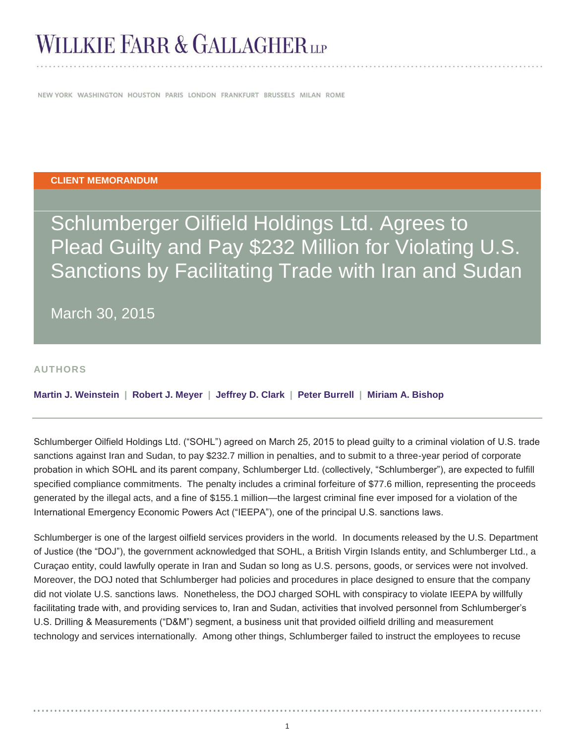# **WILLKIE FARR & GALLAGHER**

NEW YORK WASHINGTON HOUSTON PARIS LONDON FRANKFURT BRUSSELS MILAN ROME

#### **CLIENT MEMORANDUM**

Schlumberger Oilfield Holdings Ltd. Agrees to Plead Guilty and Pay \$232 Million for Violating U.S. Sanctions by Facilitating Trade with Iran and Sudan

March 30, 2015

#### **AUTHORS**

**Martin J. Weinstein | Robert J. Meyer | Jeffrey D. Clark | Peter Burrell | Miriam A. Bishop** 

Schlumberger Oilfield Holdings Ltd. ("SOHL") agreed on March 25, 2015 to plead guilty to a criminal violation of U.S. trade sanctions against Iran and Sudan, to pay \$232.7 million in penalties, and to submit to a three-year period of corporate probation in which SOHL and its parent company, Schlumberger Ltd. (collectively, "Schlumberger"), are expected to fulfill specified compliance commitments. The penalty includes a criminal forfeiture of \$77.6 million, representing the proceeds generated by the illegal acts, and a fine of \$155.1 million—the largest criminal fine ever imposed for a violation of the International Emergency Economic Powers Act ("IEEPA"), one of the principal U.S. sanctions laws.

Schlumberger is one of the largest oilfield services providers in the world. In documents released by the U.S. Department of Justice (the "DOJ"), the government acknowledged that SOHL, a British Virgin Islands entity, and Schlumberger Ltd., a Curaçao entity, could lawfully operate in Iran and Sudan so long as U.S. persons, goods, or services were not involved. Moreover, the DOJ noted that Schlumberger had policies and procedures in place designed to ensure that the company did not violate U.S. sanctions laws. Nonetheless, the DOJ charged SOHL with conspiracy to violate IEEPA by willfully facilitating trade with, and providing services to, Iran and Sudan, activities that involved personnel from Schlumberger's U.S. Drilling & Measurements ("D&M") segment, a business unit that provided oilfield drilling and measurement technology and services internationally. Among other things, Schlumberger failed to instruct the employees to recuse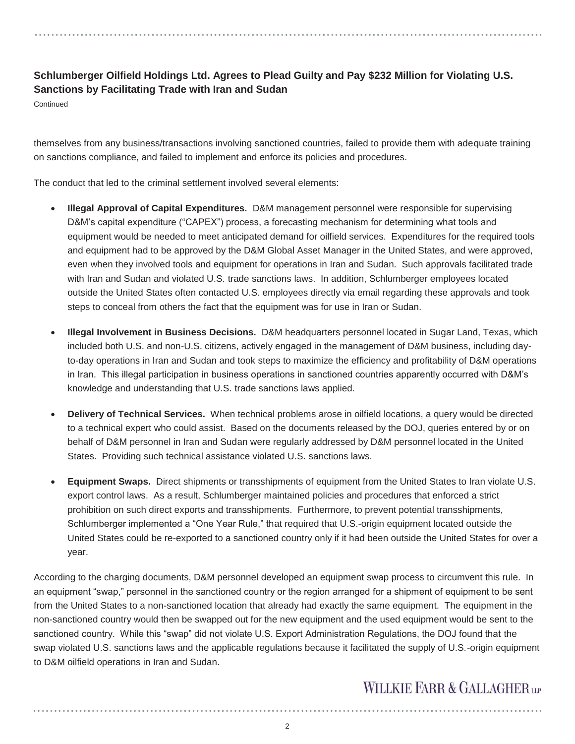### **Schlumberger Oilfield Holdings Ltd. Agrees to Plead Guilty and Pay \$232 Million for Violating U.S. Sanctions by Facilitating Trade with Iran and Sudan**

**Continued** 

themselves from any business/transactions involving sanctioned countries, failed to provide them with adequate training on sanctions compliance, and failed to implement and enforce its policies and procedures.

The conduct that led to the criminal settlement involved several elements:

- x **Illegal Approval of Capital Expenditures.** D&M management personnel were responsible for supervising D&M's capital expenditure ("CAPEX") process, a forecasting mechanism for determining what tools and equipment would be needed to meet anticipated demand for oilfield services. Expenditures for the required tools and equipment had to be approved by the D&M Global Asset Manager in the United States, and were approved, even when they involved tools and equipment for operations in Iran and Sudan. Such approvals facilitated trade with Iran and Sudan and violated U.S. trade sanctions laws. In addition, Schlumberger employees located outside the United States often contacted U.S. employees directly via email regarding these approvals and took steps to conceal from others the fact that the equipment was for use in Iran or Sudan.
- x **Illegal Involvement in Business Decisions.** D&M headquarters personnel located in Sugar Land, Texas, which included both U.S. and non-U.S. citizens, actively engaged in the management of D&M business, including dayto-day operations in Iran and Sudan and took steps to maximize the efficiency and profitability of D&M operations in Iran. This illegal participation in business operations in sanctioned countries apparently occurred with D&M's knowledge and understanding that U.S. trade sanctions laws applied.
- x **Delivery of Technical Services.** When technical problems arose in oilfield locations, a query would be directed to a technical expert who could assist. Based on the documents released by the DOJ, queries entered by or on behalf of D&M personnel in Iran and Sudan were regularly addressed by D&M personnel located in the United States. Providing such technical assistance violated U.S. sanctions laws.
- **Equipment Swaps.** Direct shipments or transshipments of equipment from the United States to Iran violate U.S. export control laws. As a result, Schlumberger maintained policies and procedures that enforced a strict prohibition on such direct exports and transshipments. Furthermore, to prevent potential transshipments, Schlumberger implemented a "One Year Rule," that required that U.S.-origin equipment located outside the United States could be re-exported to a sanctioned country only if it had been outside the United States for over a year.

According to the charging documents, D&M personnel developed an equipment swap process to circumvent this rule. In an equipment "swap," personnel in the sanctioned country or the region arranged for a shipment of equipment to be sent from the United States to a non-sanctioned location that already had exactly the same equipment. The equipment in the non-sanctioned country would then be swapped out for the new equipment and the used equipment would be sent to the sanctioned country. While this "swap" did not violate U.S. Export Administration Regulations, the DOJ found that the swap violated U.S. sanctions laws and the applicable regulations because it facilitated the supply of U.S.-origin equipment to D&M oilfield operations in Iran and Sudan.

# WILLKIE FARR & GALLAGHERLP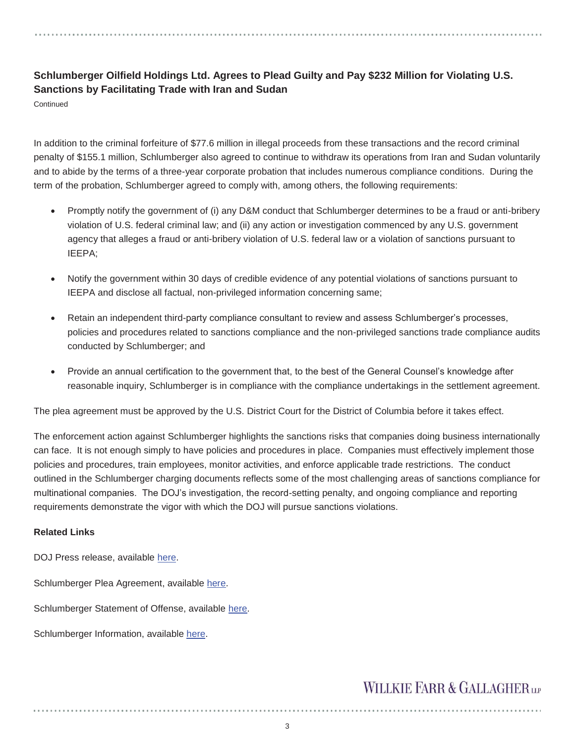### **Schlumberger Oilfield Holdings Ltd. Agrees to Plead Guilty and Pay \$232 Million for Violating U.S. Sanctions by Facilitating Trade with Iran and Sudan**

Continued

In addition to the criminal forfeiture of \$77.6 million in illegal proceeds from these transactions and the record criminal penalty of \$155.1 million, Schlumberger also agreed to continue to withdraw its operations from Iran and Sudan voluntarily and to abide by the terms of a three-year corporate probation that includes numerous compliance conditions. During the term of the probation, Schlumberger agreed to comply with, among others, the following requirements:

- Promptly notify the government of (i) any D&M conduct that Schlumberger determines to be a fraud or anti-bribery violation of U.S. federal criminal law; and (ii) any action or investigation commenced by any U.S. government agency that alleges a fraud or anti-bribery violation of U.S. federal law or a violation of sanctions pursuant to IEEPA;
- Notify the government within 30 days of credible evidence of any potential violations of sanctions pursuant to IEEPA and disclose all factual, non-privileged information concerning same;
- Retain an independent third-party compliance consultant to review and assess Schlumberger's processes, policies and procedures related to sanctions compliance and the non-privileged sanctions trade compliance audits conducted by Schlumberger; and
- Provide an annual certification to the government that, to the best of the General Counsel's knowledge after reasonable inquiry, Schlumberger is in compliance with the compliance undertakings in the settlement agreement.

The plea agreement must be approved by the U.S. District Court for the District of Columbia before it takes effect.

The enforcement action against Schlumberger highlights the sanctions risks that companies doing business internationally can face. It is not enough simply to have policies and procedures in place. Companies must effectively implement those policies and procedures, train employees, monitor activities, and enforce applicable trade restrictions. The conduct outlined in the Schlumberger charging documents reflects some of the most challenging areas of sanctions compliance for multinational companies. The DOJ's investigation, the record-setting penalty, and ongoing compliance and reporting requirements demonstrate the vigor with which the DOJ will pursue sanctions violations.

#### **Related Links**

DOJ Press release, available here.

Schlumberger Plea Agreement, available here.

Schlumberger Statement of Offense, available here.

Schlumberger Information, available here.

# **WILLKIE FARR & GALLAGHERUP**